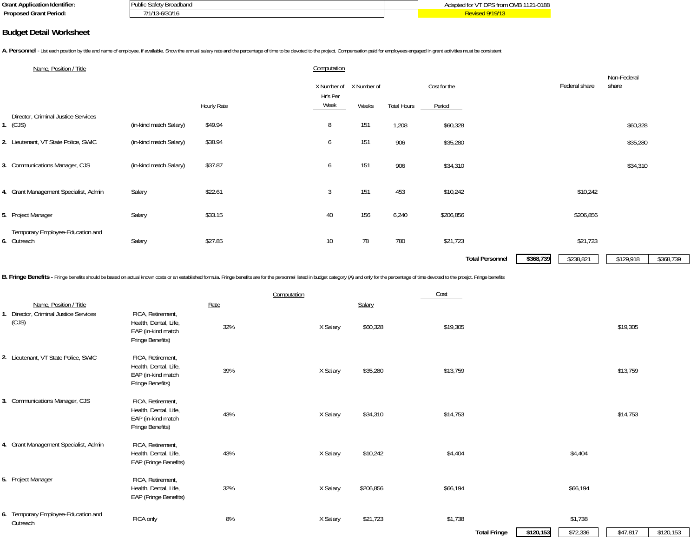| <br>Grant Appli<br>'ication Identifier:<br>чсаноп | : Broadband<br>4 IDIN<br>. | ን1-0186<br>$\sim$<br>nnc<br>aan<br>, UNIB<br>IJF |
|---------------------------------------------------|----------------------------|--------------------------------------------------|
| Proposed<br>ed Grant Period:                      | .<br>-6/30/16              |                                                  |

#### **Budget Detail Worksheet**

A. Personnel - List each position by title and name of employee, if available. Show the annual salary rate and the percentage of time to be devoted to the project. Compensation paid for employees engaged in grant activitie

| Name, Position / Title                          |                        |                    | Computation                         |       |                    |                        |                        | Non-Federal            |
|-------------------------------------------------|------------------------|--------------------|-------------------------------------|-------|--------------------|------------------------|------------------------|------------------------|
|                                                 |                        |                    | X Number of X Number of<br>Hr's Per |       |                    | Cost for the           | Federal share          | share                  |
|                                                 |                        | <b>Hourly Rate</b> | Week                                | Weeks | <b>Total Hours</b> | Period                 |                        |                        |
| Director, Criminal Justice Services<br>1. (CJS) | (in-kind match Salary) | \$49.94            | 8                                   | 151   | 1,208              | \$60,328               |                        | \$60,328               |
| 2. Lieutenant, VT State Police, SWIC            | (in-kind match Salary) | \$38.94            | 6                                   | 151   | 906                | \$35,280               |                        | \$35,280               |
| 3. Communications Manager, CJS                  | (in-kind match Salary) | \$37.87            | 6                                   | 151   | 906                | \$34,310               |                        | \$34,310               |
| 4. Grant Management Specialist, Admin           | Salary                 | \$22.61            | 3                                   | 151   | 453                | \$10,242               | \$10,242               |                        |
| 5. Project Manager                              | Salary                 | \$33.15            | 40                                  | 156   | 6,240              | \$206,856              | \$206,856              |                        |
| Temporary Employee-Education and<br>6. Outreach | Salary                 | \$27.85            | 10                                  | 78    | 780                | \$21,723               | \$21,723               |                        |
|                                                 |                        |                    |                                     |       |                    | <b>Total Personnel</b> | \$368,739<br>\$238,821 | \$368,739<br>\$129,918 |

B. Fringe Benefits - Fringe benefits should be based on actual known costs or an established formula. Fringe benefits are for the personnel listed in budget category (A) and only for the percentage of time devoted to the p

|       |                                                 |                                                                                      |      | Computation |           | Cost                           |                                              |           |
|-------|-------------------------------------------------|--------------------------------------------------------------------------------------|------|-------------|-----------|--------------------------------|----------------------------------------------|-----------|
|       | Name, Position / Title                          |                                                                                      | Rate |             | Salary    |                                |                                              |           |
| (CJS) | I. Director, Criminal Justice Services          | FICA, Retirement,<br>Health, Dental, Life,<br>EAP (in-kind match<br>Fringe Benefits) | 32%  | X Salary    | \$60,328  | \$19,305                       | \$19,305                                     |           |
|       | 2. Lieutenant, VT State Police, SWIC            | FICA, Retirement,<br>Health, Dental, Life,<br>EAP (in-kind match<br>Fringe Benefits) | 39%  | X Salary    | \$35,280  | \$13,759                       | \$13,759                                     |           |
|       | 3. Communications Manager, CJS                  | FICA, Retirement,<br>Health, Dental, Life,<br>EAP (in-kind match<br>Fringe Benefits) | 43%  | X Salary    | \$34,310  | \$14,753                       | \$14,753                                     |           |
|       | 4. Grant Management Specialist, Admin           | FICA, Retirement,<br>Health, Dental, Life,<br>EAP (Fringe Benefits)                  | 43%  | X Salary    | \$10,242  | \$4,404                        | \$4,404                                      |           |
|       | 5. Project Manager                              | FICA, Retirement,<br>Health, Dental, Life,<br>EAP (Fringe Benefits)                  | 32%  | X Salary    | \$206,856 | \$66,194                       | \$66,194                                     |           |
|       | 6. Temporary Employee-Education and<br>Outreach | FICA only                                                                            | 8%   | X Salary    | \$21,723  | \$1,738<br><b>Total Fringe</b> | \$1,738<br>\$72,336<br>\$120,153<br>\$47,817 | \$120,153 |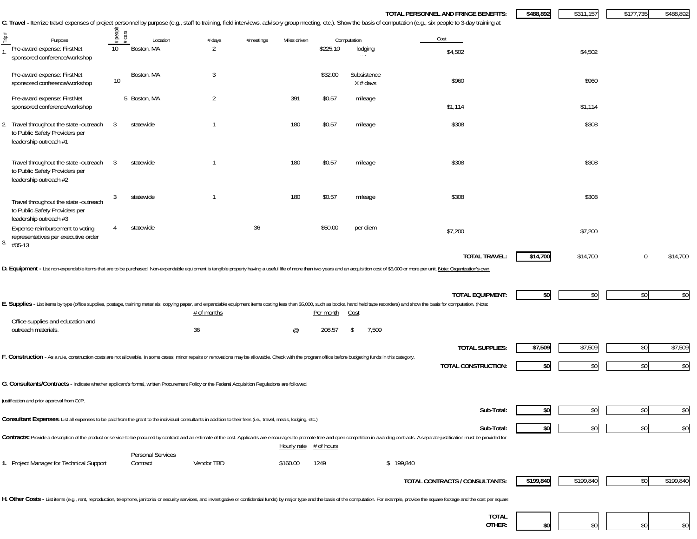|                                                                                                                                                                                                         |                         |              |                        |                |           |                |            |                            | TOTAL PERSONNEL AND FRINGE BENEFITS:<br>C. Travel - Itemize travel expenses of project personnel by purpose (e.g., staff to training, field interviews, advisory group meeting, etc.). Show the basis of computation (e.g., six people to 3-day training at | \$488,892 | \$311,157 | \$177,735 | \$488,892 |
|---------------------------------------------------------------------------------------------------------------------------------------------------------------------------------------------------------|-------------------------|--------------|------------------------|----------------|-----------|----------------|------------|----------------------------|-------------------------------------------------------------------------------------------------------------------------------------------------------------------------------------------------------------------------------------------------------------|-----------|-----------|-----------|-----------|
| Ê                                                                                                                                                                                                       | peopl                   | cas          |                        |                |           | Miles driven   |            | Computation                | Cost                                                                                                                                                                                                                                                        |           |           |           |           |
| Purpose<br>Pre-award expense: FirstNet<br>sponsored conference/workshop                                                                                                                                 | 10                      |              | Location<br>Boston, MA | $#$ days<br>2  | #meetings |                | \$225.10   | lodging                    | \$4,502                                                                                                                                                                                                                                                     |           | \$4,502   |           |           |
| Pre-award expense: FirstNet<br>sponsored conference/workshop                                                                                                                                            | 10                      | Boston, MA   |                        | 3              |           |                | \$32.00    | Subsistence<br>$X \#$ davs | \$960                                                                                                                                                                                                                                                       |           | \$960     |           |           |
| Pre-award expense: FirstNet<br>sponsored conference/workshop                                                                                                                                            |                         | 5 Boston, MA |                        | $\overline{2}$ |           | 391            | \$0.57     | mileage                    | \$1,114                                                                                                                                                                                                                                                     |           | \$1,114   |           |           |
| 2. Travel throughout the state -outreach<br>to Public Safety Providers per<br>leadership outreach #1                                                                                                    | 3                       | statewide    |                        | -1             |           | 180            | \$0.57     | mileage                    | \$308                                                                                                                                                                                                                                                       |           | \$308     |           |           |
| Travel throughout the state -outreach<br>to Public Safety Providers per<br>leadership outreach #2                                                                                                       | $\overline{\mathbf{3}}$ | statewide    |                        | -1             |           | 180            | \$0.57     | mileage                    | \$308                                                                                                                                                                                                                                                       |           | \$308     |           |           |
| Travel throughout the state -outreach<br>to Public Safety Providers per                                                                                                                                 | 3                       | statewide    |                        | $\mathbf{1}$   |           | 180            | \$0.57     | mileage                    | \$308                                                                                                                                                                                                                                                       |           | \$308     |           |           |
| leadership outreach #3<br>Expense reimbursement to voting<br>representatives per executive order<br>$3. \#05-13$                                                                                        | 4                       | statewide    |                        |                | 36        |                | \$50.00    | per diem                   | \$7,200                                                                                                                                                                                                                                                     |           | \$7,200   |           |           |
|                                                                                                                                                                                                         |                         |              |                        |                |           |                |            |                            | <b>TOTAL TRAVEL:</b><br>D. Equipment - List non-expendable items that are to be purchased. Non-expendable equipment is tangible property having a useful life of more than two years and an acquisition cost of \$5,000 or more per unit. Note: Organiz     | \$14,700  | \$14,700  | 0         | \$14,700  |
|                                                                                                                                                                                                         |                         |              |                        | # of months    |           |                | Per month  | <u>Cost</u>                | <b>TOTAL EQUIPMENT:</b><br>E. Supplies - List items by type (office supplies, postage, training materials, copying paper, and expandable equipment items costing less than \$5,000, such as books, hand held tape recorders) and show the basis for comput  | \$0       | \$0       | \$0       | \$0       |
| Office supplies and education and<br>outreach materials.                                                                                                                                                |                         |              |                        | 36             |           | $^{\circledR}$ | 208.57     | 7,509<br>\$                |                                                                                                                                                                                                                                                             |           |           |           |           |
| F. Construction - As a rule, construction costs are not allowable. In some cases, minor repairs or renovations may be allowable. Check with the program office before budgeting funds in this category. |                         |              |                        |                |           |                |            |                            | <b>TOTAL SUPPLIES:</b>                                                                                                                                                                                                                                      | \$7,509   | \$7,509   | \$0       | \$7,509   |
|                                                                                                                                                                                                         |                         |              |                        |                |           |                |            |                            | TOTAL CONSTRUCTION:                                                                                                                                                                                                                                         | \$0       | \$0       | \$0       | \$0       |
| G. Consultants/Contracts - Indicate whether applicant's formal, written Procurement Policy or the Federal Acquisition Regulations are followed                                                          |                         |              |                        |                |           |                |            |                            |                                                                                                                                                                                                                                                             |           |           |           |           |
| justification and prior approval from OJP.                                                                                                                                                              |                         |              |                        |                |           |                |            |                            | Sub-Total:                                                                                                                                                                                                                                                  |           | \$0       | \$0       | \$0       |
| Consultant Expenses: List all expenses to be paid from the grant to the individual consultants in addition to their fees (i.e., travel, meals, lodging, etc.)                                           |                         |              |                        |                |           |                |            |                            | Sub-Total:                                                                                                                                                                                                                                                  | \$0       | \$0       | \$0       | \$0       |
|                                                                                                                                                                                                         |                         |              |                        |                |           | Hourly rate    | # of hours |                            | Contracts: Provide a description of the product or service to be procured by contract and an estimate of the cost. Applicants are encouraged to promote free and open competition in awarding contracts. A separate justificat                              |           |           |           |           |
| 1. Project Manager for Technical Support                                                                                                                                                                |                         | Contract     | Personal Services      | Vendor TBD     |           | \$160.00       | 1249       |                            | \$199,840                                                                                                                                                                                                                                                   |           |           |           |           |
|                                                                                                                                                                                                         |                         |              |                        |                |           |                |            |                            | TOTAL CONTRACTS / CONSULTANTS:                                                                                                                                                                                                                              | \$199,840 | \$199,840 | \$0       | \$199,840 |
|                                                                                                                                                                                                         |                         |              |                        |                |           |                |            |                            | H. Other Costs - List items (e.g., rent, reproduction, telephone, janitorial or security services, and investigative or confidential funds) by major type and the basis of the computation. For example, provide the square fo                              |           |           |           |           |
|                                                                                                                                                                                                         |                         |              |                        |                |           |                |            |                            | <b>TOTAL</b><br>OTHER:                                                                                                                                                                                                                                      |           |           |           | \$0       |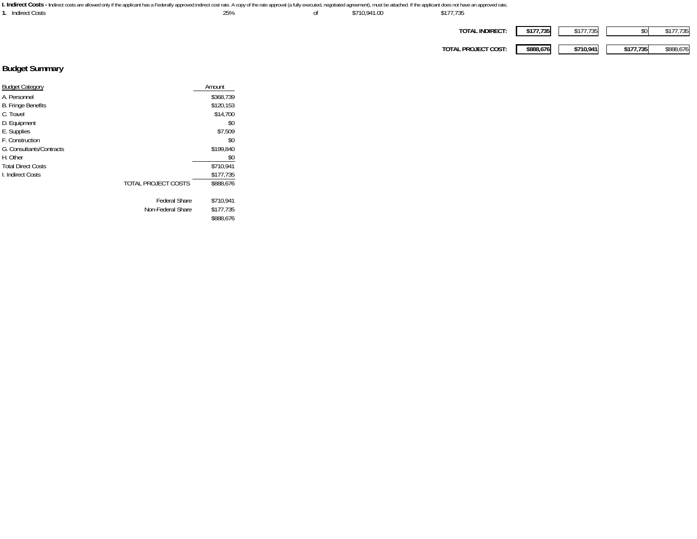| I. Indirect Costs - Indirect costs are allowed only if the applicant has a Federally approved indirect cost rate. A copy of the rate approval (a fully executed, negotiated agreement), must be attached. If the applicant doe |     |              |                     |           |           |           |           |
|--------------------------------------------------------------------------------------------------------------------------------------------------------------------------------------------------------------------------------|-----|--------------|---------------------|-----------|-----------|-----------|-----------|
| <b>Indirect Costs</b>                                                                                                                                                                                                          | 25% | \$710.941.00 | \$177.735           |           |           |           |           |
|                                                                                                                                                                                                                                |     |              |                     |           |           |           |           |
|                                                                                                                                                                                                                                |     |              | TOTAL INDIRECT:     | \$177,735 | \$177,735 |           | \$177,735 |
|                                                                                                                                                                                                                                |     |              |                     |           |           |           |           |
|                                                                                                                                                                                                                                |     |              | TOTAL PROJECT COST: | \$888.676 | \$710.941 | \$177,735 | \$888.676 |
|                                                                                                                                                                                                                                |     |              |                     |           |           |           |           |

# **Budget Summary**

| <b>Budget Category</b>    |                      | Amount    |
|---------------------------|----------------------|-----------|
| A. Personnel              |                      | \$368.739 |
| <b>B. Fringe Benefits</b> |                      | \$120,153 |
| C. Travel                 |                      | \$14,700  |
| D. Equipment              |                      | \$0       |
| E. Supplies               |                      | \$7,509   |
| F. Construction           |                      | \$0       |
| G. Consultants/Contracts  |                      | \$199,840 |
| H. Other                  |                      | \$0       |
| <b>Total Direct Costs</b> |                      | \$710,941 |
| L Indirect Costs          |                      | \$177,735 |
|                           | TOTAL PROJECT COSTS  | \$888.676 |
|                           | <b>Federal Share</b> | \$710,941 |
|                           | Non-Federal Share    | \$177,735 |
|                           |                      | \$888,676 |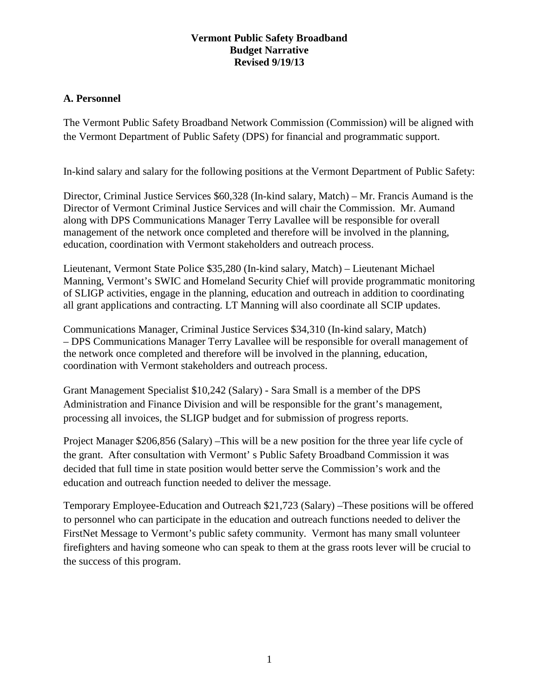## **Vermont Public Safety Broadband Budget Narrative Revised 9/19/13**

#### **A. Personnel**

The Vermont Public Safety Broadband Network Commission (Commission) will be aligned with the Vermont Department of Public Safety (DPS) for financial and programmatic support.

In-kind salary and salary for the following positions at the Vermont Department of Public Safety:

Director, Criminal Justice Services \$60,328 (In-kind salary, Match) – Mr. Francis Aumand is the Director of Vermont Criminal Justice Services and will chair the Commission. Mr. Aumand along with DPS Communications Manager Terry Lavallee will be responsible for overall management of the network once completed and therefore will be involved in the planning, education, coordination with Vermont stakeholders and outreach process.

Lieutenant, Vermont State Police \$35,280 (In-kind salary, Match) – Lieutenant Michael Manning, Vermont's SWIC and Homeland Security Chief will provide programmatic monitoring of SLIGP activities, engage in the planning, education and outreach in addition to coordinating all grant applications and contracting. LT Manning will also coordinate all SCIP updates.

Communications Manager, Criminal Justice Services \$34,310 (In-kind salary, Match) – DPS Communications Manager Terry Lavallee will be responsible for overall management of the network once completed and therefore will be involved in the planning, education, coordination with Vermont stakeholders and outreach process.

Grant Management Specialist \$10,242 (Salary) - Sara Small is a member of the DPS Administration and Finance Division and will be responsible for the grant's management, processing all invoices, the SLIGP budget and for submission of progress reports.

Project Manager \$206,856 (Salary) –This will be a new position for the three year life cycle of the grant. After consultation with Vermont' s Public Safety Broadband Commission it was decided that full time in state position would better serve the Commission's work and the education and outreach function needed to deliver the message.

Temporary Employee-Education and Outreach \$21,723 (Salary) –These positions will be offered to personnel who can participate in the education and outreach functions needed to deliver the FirstNet Message to Vermont's public safety community. Vermont has many small volunteer firefighters and having someone who can speak to them at the grass roots lever will be crucial to the success of this program.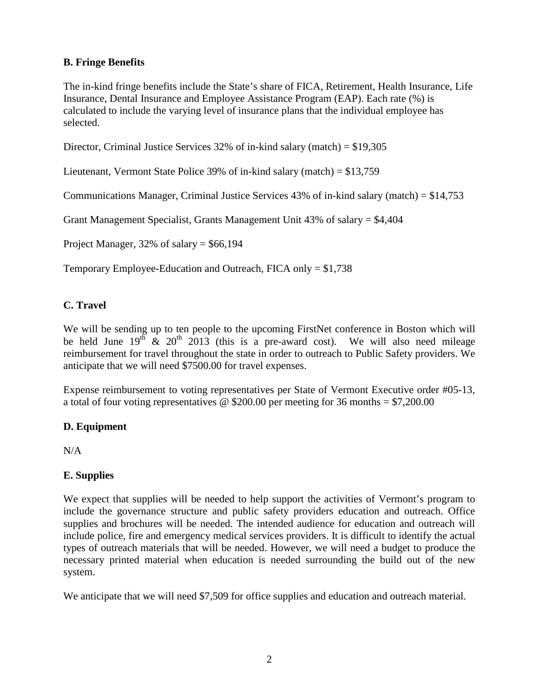# **B. Fringe Benefits**

The in-kind fringe benefits include the State's share of FICA, Retirement, Health Insurance, Life Insurance, Dental Insurance and Employee Assistance Program (EAP). Each rate (%) is calculated to include the varying level of insurance plans that the individual employee has selected.

Director, Criminal Justice Services 32% of in-kind salary (match) = \$19,305

Lieutenant, Vermont State Police 39% of in-kind salary (match) = \$13,759

Communications Manager, Criminal Justice Services  $43\%$  of in-kind salary (match) = \$14,753

Grant Management Specialist, Grants Management Unit 43% of salary = \$4,404

Project Manager,  $32\%$  of salary = \$66,194

Temporary Employee-Education and Outreach, FICA only = \$1,738

## **C. Travel**

We will be sending up to ten people to the upcoming FirstNet conference in Boston which will be held June  $19^{th}$  &  $20^{th}$   $2013$  (this is a pre-award cost). We will also need mileage reimbursement for travel throughout the state in order to outreach to Public Safety providers. We anticipate that we will need \$7500.00 for travel expenses.

Expense reimbursement to voting representatives per State of Vermont Executive order #05-13, a total of four voting representatives  $\omega$  \$200.00 per meeting for 36 months = \$7,200.00

#### **D. Equipment**

N/A

## **E. Supplies**

We expect that supplies will be needed to help support the activities of Vermont's program to include the governance structure and public safety providers education and outreach. Office supplies and brochures will be needed. The intended audience for education and outreach will include police, fire and emergency medical services providers. It is difficult to identify the actual types of outreach materials that will be needed. However, we will need a budget to produce the necessary printed material when education is needed surrounding the build out of the new system.

We anticipate that we will need \$7,509 for office supplies and education and outreach material.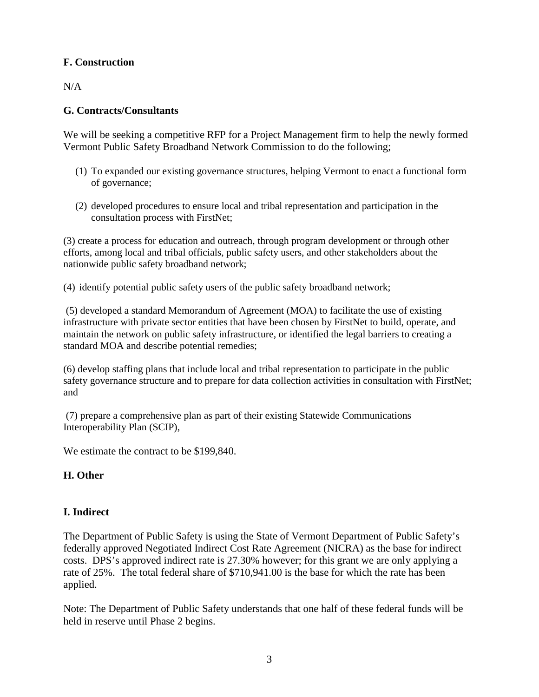# **F. Construction**

N/A

# **G. Contracts/Consultants**

We will be seeking a competitive RFP for a Project Management firm to help the newly formed Vermont Public Safety Broadband Network Commission to do the following;

- (1) To expanded our existing governance structures, helping Vermont to enact a functional form of governance;
- (2) developed procedures to ensure local and tribal representation and participation in the consultation process with FirstNet;

(3) create a process for education and outreach, through program development or through other efforts, among local and tribal officials, public safety users, and other stakeholders about the nationwide public safety broadband network;

(4) identify potential public safety users of the public safety broadband network;

(5) developed a standard Memorandum of Agreement (MOA) to facilitate the use of existing infrastructure with private sector entities that have been chosen by FirstNet to build, operate, and maintain the network on public safety infrastructure, or identified the legal barriers to creating a standard MOA and describe potential remedies;

(6) develop staffing plans that include local and tribal representation to participate in the public safety governance structure and to prepare for data collection activities in consultation with FirstNet; and

(7) prepare a comprehensive plan as part of their existing Statewide Communications Interoperability Plan (SCIP),

We estimate the contract to be \$199,840.

## **H. Other**

## **I. Indirect**

The Department of Public Safety is using the State of Vermont Department of Public Safety's federally approved Negotiated Indirect Cost Rate Agreement (NICRA) as the base for indirect costs. DPS's approved indirect rate is 27.30% however; for this grant we are only applying a rate of 25%. The total federal share of \$710,941.00 is the base for which the rate has been applied.

Note: The Department of Public Safety understands that one half of these federal funds will be held in reserve until Phase 2 begins.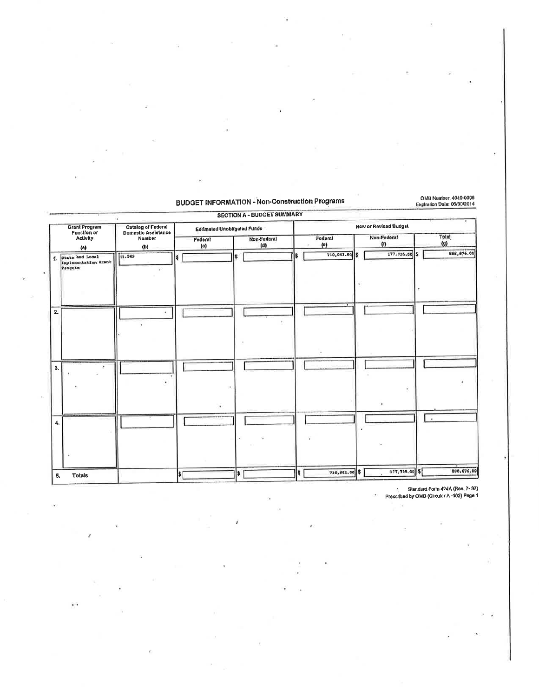# **BUDGET INFORMATION - Non-Construction Programs**

OMB Number: 4040-0006<br>Explration Date: 06/30/2014

|                        |                                                    |                                           |                             | <b>SECTION A - BUDGET SUMMARY</b> |                        |                              |                                     |
|------------------------|----------------------------------------------------|-------------------------------------------|-----------------------------|-----------------------------------|------------------------|------------------------------|-------------------------------------|
|                        | <b>Grant Program</b><br>Function or                | Catalog of Federal<br>Domestic Aselstance | Estimated Unobligated Funds |                                   |                        | <b>New or Revised Budget</b> |                                     |
| <b>Activity</b><br>(A) |                                                    | Number<br>(b)                             | Federal<br>(c)              | Non-Fodoral<br>(d)                | Fodoral<br>(e)         | Non-Federal<br>(n)           | <b>Total</b><br>$\langle 9 \rangle$ |
| $\mathbf{1}$           | State and Local<br>Implementation Grant<br>Program | 11.549                                    |                             | s                                 | $710,941.00$ \$<br>l\$ | 177, 735.00 \$               | 888,676.00                          |
| 2.                     |                                                    |                                           |                             |                                   |                        |                              |                                     |
| 3.                     |                                                    |                                           |                             |                                   |                        |                              |                                     |
| 4.                     |                                                    |                                           | ×.                          |                                   |                        |                              | з¥.                                 |
| Б.                     | <b>Totals</b>                                      |                                           | l۶۱                         | \$                                | 710,941.00 \$          | 177,735.00                   | 880,676.00                          |

i.

Slandard Form 424A (Rev. 7- 97)<br>Prescribed by OMB (Circular A -102) Page 1

 $\mathcal{A}$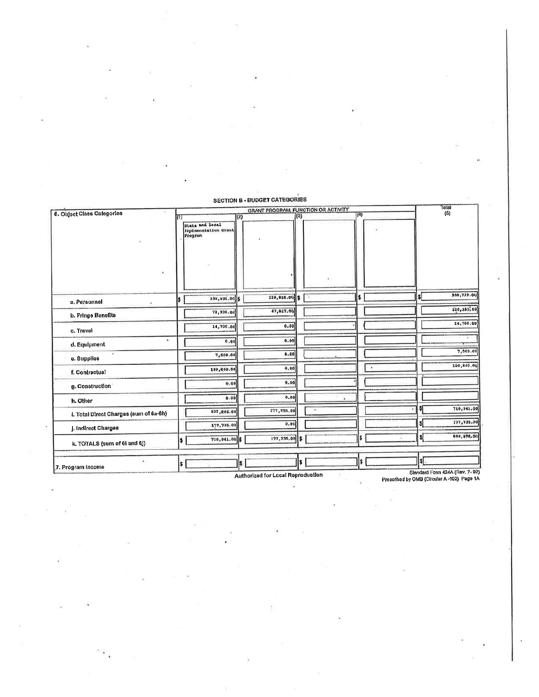| State and Local<br>Isplasmitation Grant<br>238,021.00 \$<br>72,336.00<br>14,700.00<br>0.00 | (3) | $129,910.00$ \$<br>47,917.00<br>0.00<br>0.00 | (3) | GRANT PROGRAM, FUNCTION OR ACTIVITY<br>- 72 | (4)<br>\$ |   | sı   | тотан<br>(5)<br>368,739.00<br>120, 183.00 |
|--------------------------------------------------------------------------------------------|-----|----------------------------------------------|-----|---------------------------------------------|-----------|---|------|-------------------------------------------|
|                                                                                            |     |                                              |     |                                             |           |   |      |                                           |
|                                                                                            |     |                                              |     |                                             |           |   |      |                                           |
|                                                                                            |     |                                              |     |                                             |           |   |      |                                           |
|                                                                                            |     |                                              |     |                                             |           |   |      |                                           |
|                                                                                            |     |                                              |     |                                             |           |   |      | 14,700.00                                 |
|                                                                                            |     |                                              |     |                                             |           |   |      |                                           |
| 7,509.00                                                                                   |     | 0.00                                         |     |                                             |           |   |      | 7,509.00                                  |
| 159,840.00                                                                                 |     | 0.00                                         |     |                                             |           | ٠ |      | 199,840.00                                |
| 0.00                                                                                       |     | 0.00                                         |     |                                             |           |   |      |                                           |
| 0.00                                                                                       |     | 0.00                                         |     |                                             |           |   |      |                                           |
|                                                                                            |     |                                              |     | $\bar{a}$                                   |           |   |      | 710,941.00                                |
|                                                                                            |     |                                              |     |                                             |           |   | \$   | 177,735.00                                |
|                                                                                            |     |                                              | l S |                                             | \$        |   | \$İ  | 888,676.00                                |
|                                                                                            |     |                                              |     |                                             |           |   | I\$I |                                           |
|                                                                                            |     | 533,206.00<br>177,735.00<br>710,941.00 \$    |     | 177,735.00<br>0.00<br>177,735.00            |           |   |      | s<br>I\$<br>s.<br>s                       |

**SECTION B - BUDGET CATEGORIES** 

Authorized for Local Reproduction

Standard Form 424A (Rev. 7-97)<br>Prescribed by OMB (Circular A-102) Page 1A